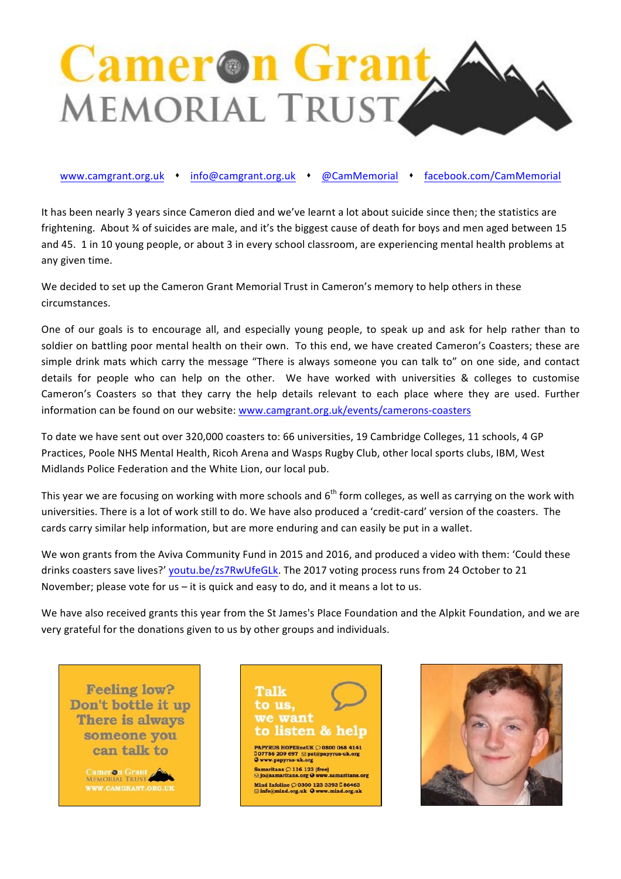

www.camgrant.org.uk • info@camgrant.org.uk • @CamMemorial • facebook.com/CamMemorial

It has been nearly 3 years since Cameron died and we've learnt a lot about suicide since then; the statistics are frightening. About % of suicides are male, and it's the biggest cause of death for boys and men aged between 15 and 45. 1 in 10 young people, or about 3 in every school classroom, are experiencing mental health problems at any given time.

We decided to set up the Cameron Grant Memorial Trust in Cameron's memory to help others in these circumstances.

One of our goals is to encourage all, and especially young people, to speak up and ask for help rather than to soldier on battling poor mental health on their own. To this end, we have created Cameron's Coasters; these are simple drink mats which carry the message "There is always someone you can talk to" on one side, and contact details for people who can help on the other. We have worked with universities & colleges to customise Cameron's Coasters so that they carry the help details relevant to each place where they are used. Further information can be found on our website: www.camgrant.org.uk/events/camerons-coasters

To date we have sent out over 320,000 coasters to: 66 universities, 19 Cambridge Colleges, 11 schools, 4 GP Practices, Poole NHS Mental Health, Ricoh Arena and Wasps Rugby Club, other local sports clubs, IBM, West Midlands Police Federation and the White Lion, our local pub.

This year we are focusing on working with more schools and  $6<sup>th</sup>$  form colleges, as well as carrying on the work with universities. There is a lot of work still to do. We have also produced a 'credit-card' version of the coasters. The cards carry similar help information, but are more enduring and can easily be put in a wallet.

We won grants from the Aviva Community Fund in 2015 and 2016, and produced a video with them: 'Could these drinks coasters save lives?' youtu.be/zs7RwUfeGLk. The 2017 voting process runs from 24 October to 21 November; please vote for us  $-$  it is quick and easy to do, and it means a lot to us.

We have also received grants this year from the St James's Place Foundation and the Alpkit Foundation, and we are very grateful for the donations given to us by other groups and individuals.

**Feeling low?** Don't bottle it up There is always someone you can talk to

> Cameron Grant **VW.CAMGRANT.ORG.U**